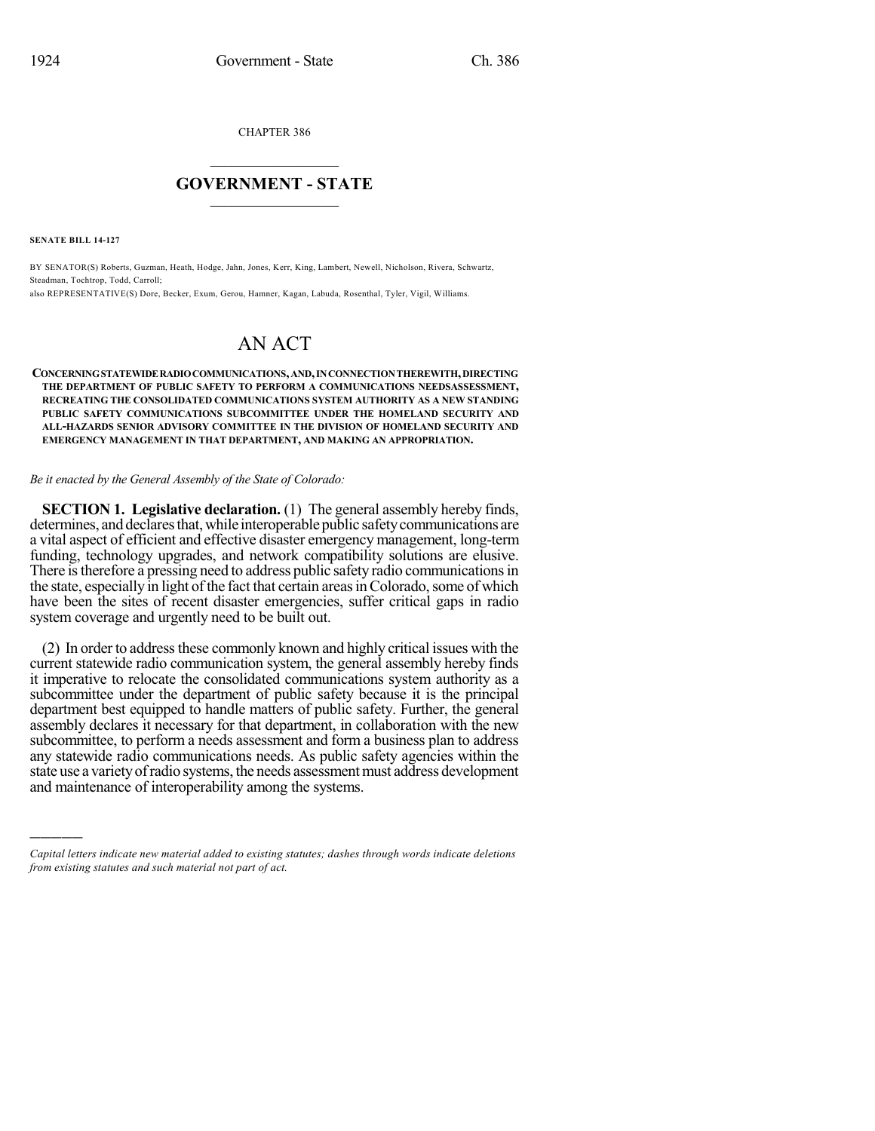CHAPTER 386  $\overline{\phantom{a}}$  . The set of the set of the set of the set of the set of the set of the set of the set of the set of the set of the set of the set of the set of the set of the set of the set of the set of the set of the set o

## **GOVERNMENT - STATE**  $\_$

**SENATE BILL 14-127**

)))))

BY SENATOR(S) Roberts, Guzman, Heath, Hodge, Jahn, Jones, Kerr, King, Lambert, Newell, Nicholson, Rivera, Schwartz, Steadman, Tochtrop, Todd, Carroll;

also REPRESENTATIVE(S) Dore, Becker, Exum, Gerou, Hamner, Kagan, Labuda, Rosenthal, Tyler, Vigil, Williams.

## AN ACT

**CONCERNINGSTATEWIDERADIOCOMMUNICATIONS,AND,INCONNECTIONTHEREWITH,DIRECTING THE DEPARTMENT OF PUBLIC SAFETY TO PERFORM A COMMUNICATIONS NEEDSASSESSMENT, RECREATING THE CONSOLIDATED COMMUNICATIONS SYSTEM AUTHORITY AS A NEW STANDING PUBLIC SAFETY COMMUNICATIONS SUBCOMMITTEE UNDER THE HOMELAND SECURITY AND ALL-HAZARDS SENIOR ADVISORY COMMITTEE IN THE DIVISION OF HOMELAND SECURITY AND EMERGENCY MANAGEMENT IN THAT DEPARTMENT, AND MAKING AN APPROPRIATION.**

## *Be it enacted by the General Assembly of the State of Colorado:*

**SECTION 1. Legislative declaration.** (1) The general assembly hereby finds, determines, and declares that, while interoperable public safety communications are a vital aspect of efficient and effective disaster emergency management, long-term funding, technology upgrades, and network compatibility solutions are elusive. There is therefore a pressing need to address public safety radio communications in the state, especially in light of the fact that certain areas in Colorado, some of which have been the sites of recent disaster emergencies, suffer critical gaps in radio system coverage and urgently need to be built out.

(2) In order to addressthese commonly known and highly critical issues with the current statewide radio communication system, the general assembly hereby finds it imperative to relocate the consolidated communications system authority as a subcommittee under the department of public safety because it is the principal department best equipped to handle matters of public safety. Further, the general assembly declares it necessary for that department, in collaboration with the new subcommittee, to perform a needs assessment and form a business plan to address any statewide radio communications needs. As public safety agencies within the state use a varietyofradio systems, the needs assessmentmust address development and maintenance of interoperability among the systems.

*Capital letters indicate new material added to existing statutes; dashes through words indicate deletions from existing statutes and such material not part of act.*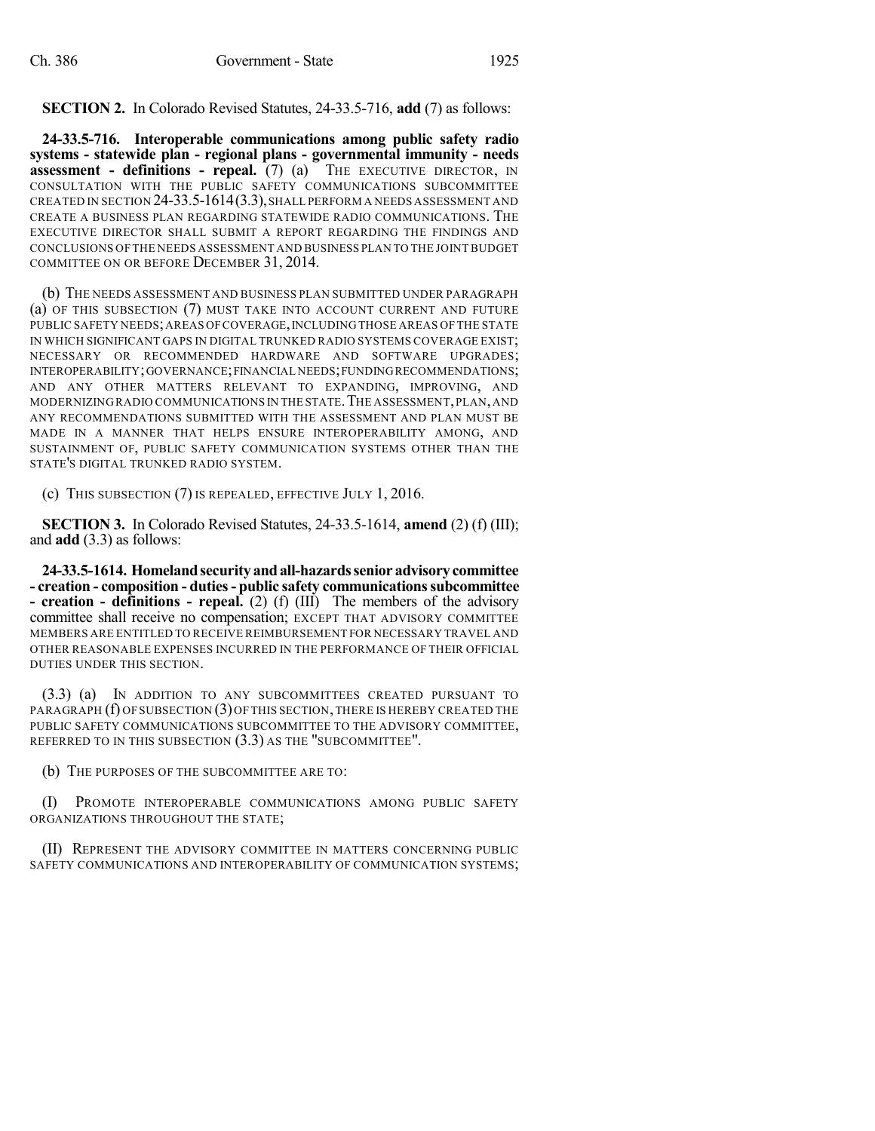**SECTION 2.** In Colorado Revised Statutes, 24-33.5-716, **add** (7) as follows:

**24-33.5-716. Interoperable communications among public safety radio systems - statewide plan - regional plans - governmental immunity - needs assessment - definitions - repeal.** (7) (a) THE EXECUTIVE DIRECTOR, IN CONSULTATION WITH THE PUBLIC SAFETY COMMUNICATIONS SUBCOMMITTEE CREATED IN SECTION 24-33.5-1614(3.3),SHALL PERFORM A NEEDS ASSESSMENT AND CREATE A BUSINESS PLAN REGARDING STATEWIDE RADIO COMMUNICATIONS. THE EXECUTIVE DIRECTOR SHALL SUBMIT A REPORT REGARDING THE FINDINGS AND CONCLUSIONS OF THE NEEDS ASSESSMENT AND BUSINESS PLAN TO THE JOINTBUDGET COMMITTEE ON OR BEFORE DECEMBER 31, 2014.

(b) THE NEEDS ASSESSMENT AND BUSINESS PLAN SUBMITTED UNDER PARAGRAPH (a) OF THIS SUBSECTION (7) MUST TAKE INTO ACCOUNT CURRENT AND FUTURE PUBLIC SAFETY NEEDS; AREAS OF COVERAGE, INCLUDING THOSE AREAS OF THE STATE IN WHICH SIGNIFICANT GAPS IN DIGITAL TRUNKED RADIO SYSTEMS COVERAGE EXIST; NECESSARY OR RECOMMENDED HARDWARE AND SOFTWARE UPGRADES; INTEROPERABILITY;GOVERNANCE;FINANCIAL NEEDS;FUNDINGRECOMMENDATIONS; AND ANY OTHER MATTERS RELEVANT TO EXPANDING, IMPROVING, AND MODERNIZING RADIO COMMUNICATIONS IN THE STATE. THE ASSESSMENT, PLAN, AND ANY RECOMMENDATIONS SUBMITTED WITH THE ASSESSMENT AND PLAN MUST BE MADE IN A MANNER THAT HELPS ENSURE INTEROPERABILITY AMONG, AND SUSTAINMENT OF, PUBLIC SAFETY COMMUNICATION SYSTEMS OTHER THAN THE STATE'S DIGITAL TRUNKED RADIO SYSTEM.

(c) THIS SUBSECTION (7) IS REPEALED, EFFECTIVE JULY 1, 2016.

**SECTION 3.** In Colorado Revised Statutes, 24-33.5-1614, **amend** (2) (f) (III); and **add** (3.3) as follows:

**24-33.5-1614. Homelandsecurityandall-hazardssenioradvisorycommittee - creation - composition - duties- public safety communicationssubcommittee - creation - definitions - repeal.** (2) (f) (III) The members of the advisory committee shall receive no compensation; EXCEPT THAT ADVISORY COMMITTEE MEMBERS ARE ENTITLED TO RECEIVE REIMBURSEMENT FOR NECESSARY TRAVEL AND OTHER REASONABLE EXPENSES INCURRED IN THE PERFORMANCE OF THEIR OFFICIAL DUTIES UNDER THIS SECTION.

(3.3) (a) IN ADDITION TO ANY SUBCOMMITTEES CREATED PURSUANT TO PARAGRAPH (f) OF SUBSECTION (3)OF THIS SECTION,THERE IS HEREBY CREATED THE PUBLIC SAFETY COMMUNICATIONS SUBCOMMITTEE TO THE ADVISORY COMMITTEE, REFERRED TO IN THIS SUBSECTION (3.3) AS THE "SUBCOMMITTEE".

(b) THE PURPOSES OF THE SUBCOMMITTEE ARE TO:

(I) PROMOTE INTEROPERABLE COMMUNICATIONS AMONG PUBLIC SAFETY ORGANIZATIONS THROUGHOUT THE STATE;

(II) REPRESENT THE ADVISORY COMMITTEE IN MATTERS CONCERNING PUBLIC SAFETY COMMUNICATIONS AND INTEROPERABILITY OF COMMUNICATION SYSTEMS;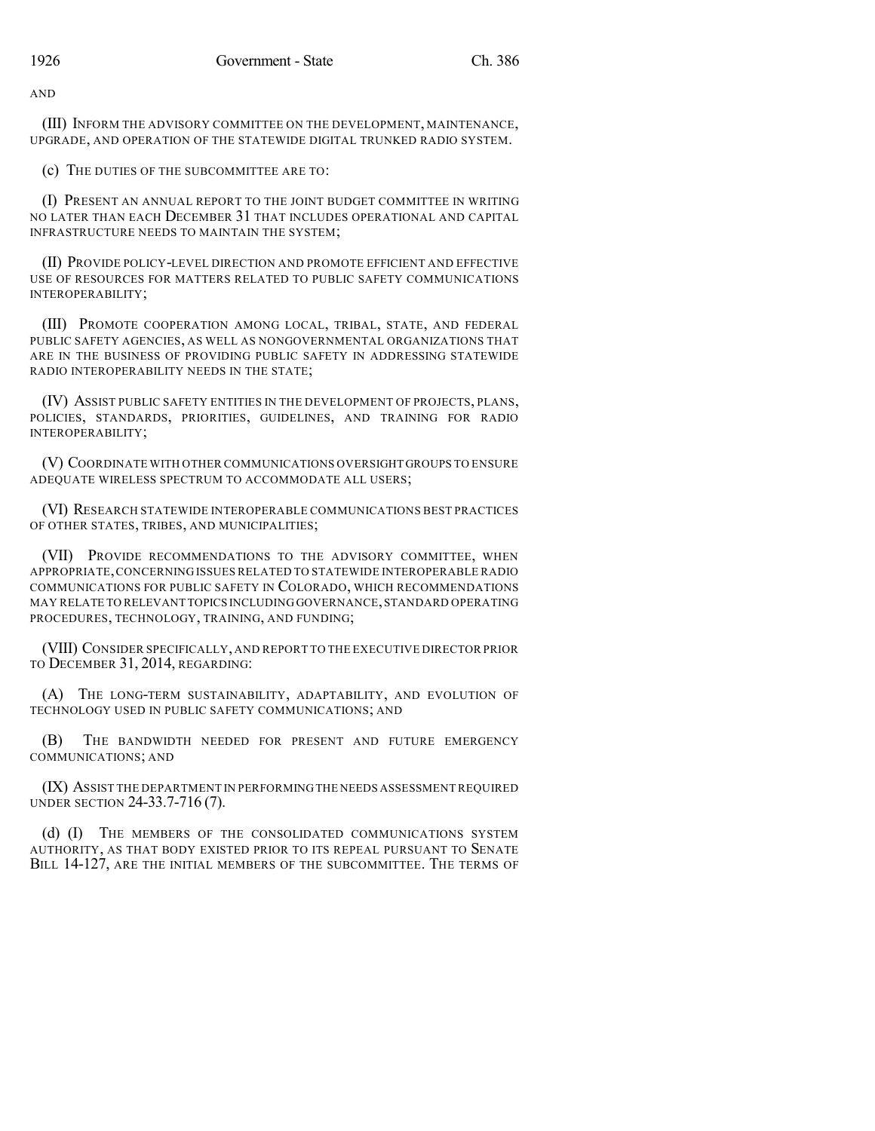AND

(III) INFORM THE ADVISORY COMMITTEE ON THE DEVELOPMENT, MAINTENANCE, UPGRADE, AND OPERATION OF THE STATEWIDE DIGITAL TRUNKED RADIO SYSTEM.

(c) THE DUTIES OF THE SUBCOMMITTEE ARE TO:

(I) PRESENT AN ANNUAL REPORT TO THE JOINT BUDGET COMMITTEE IN WRITING NO LATER THAN EACH DECEMBER 31 THAT INCLUDES OPERATIONAL AND CAPITAL INFRASTRUCTURE NEEDS TO MAINTAIN THE SYSTEM;

(II) PROVIDE POLICY-LEVEL DIRECTION AND PROMOTE EFFICIENT AND EFFECTIVE USE OF RESOURCES FOR MATTERS RELATED TO PUBLIC SAFETY COMMUNICATIONS INTEROPERABILITY;

(III) PROMOTE COOPERATION AMONG LOCAL, TRIBAL, STATE, AND FEDERAL PUBLIC SAFETY AGENCIES, AS WELL AS NONGOVERNMENTAL ORGANIZATIONS THAT ARE IN THE BUSINESS OF PROVIDING PUBLIC SAFETY IN ADDRESSING STATEWIDE RADIO INTEROPERABILITY NEEDS IN THE STATE;

(IV) ASSIST PUBLIC SAFETY ENTITIES IN THE DEVELOPMENT OF PROJECTS, PLANS, POLICIES, STANDARDS, PRIORITIES, GUIDELINES, AND TRAINING FOR RADIO INTEROPERABILITY;

(V) COORDINATE WITH OTHER COMMUNICATIONS OVERSIGHT GROUPS TO ENSURE ADEQUATE WIRELESS SPECTRUM TO ACCOMMODATE ALL USERS;

(VI) RESEARCH STATEWIDE INTEROPERABLE COMMUNICATIONS BEST PRACTICES OF OTHER STATES, TRIBES, AND MUNICIPALITIES;

(VII) PROVIDE RECOMMENDATIONS TO THE ADVISORY COMMITTEE, WHEN APPROPRIATE,CONCERNING ISSUES RELATED TO STATEWIDE INTEROPERABLE RADIO COMMUNICATIONS FOR PUBLIC SAFETY IN COLORADO, WHICH RECOMMENDATIONS MAY RELATE TO RELEVANT TOPICS INCLUDING GOVERNANCE,STANDARD OPERATING PROCEDURES, TECHNOLOGY, TRAINING, AND FUNDING;

(VIII) CONSIDER SPECIFICALLY, AND REPORT TO THE EXECUTIVE DIRECTOR PRIOR TO DECEMBER 31, 2014, REGARDING:

(A) THE LONG-TERM SUSTAINABILITY, ADAPTABILITY, AND EVOLUTION OF TECHNOLOGY USED IN PUBLIC SAFETY COMMUNICATIONS; AND

(B) THE BANDWIDTH NEEDED FOR PRESENT AND FUTURE EMERGENCY COMMUNICATIONS; AND

(IX) ASSIST THE DEPARTMENT IN PERFORMINGTHE NEEDS ASSESSMENT REQUIRED UNDER SECTION 24-33.7-716 (7).

(d) (I) THE MEMBERS OF THE CONSOLIDATED COMMUNICATIONS SYSTEM AUTHORITY, AS THAT BODY EXISTED PRIOR TO ITS REPEAL PURSUANT TO SENATE BILL 14-127, ARE THE INITIAL MEMBERS OF THE SUBCOMMITTEE. THE TERMS OF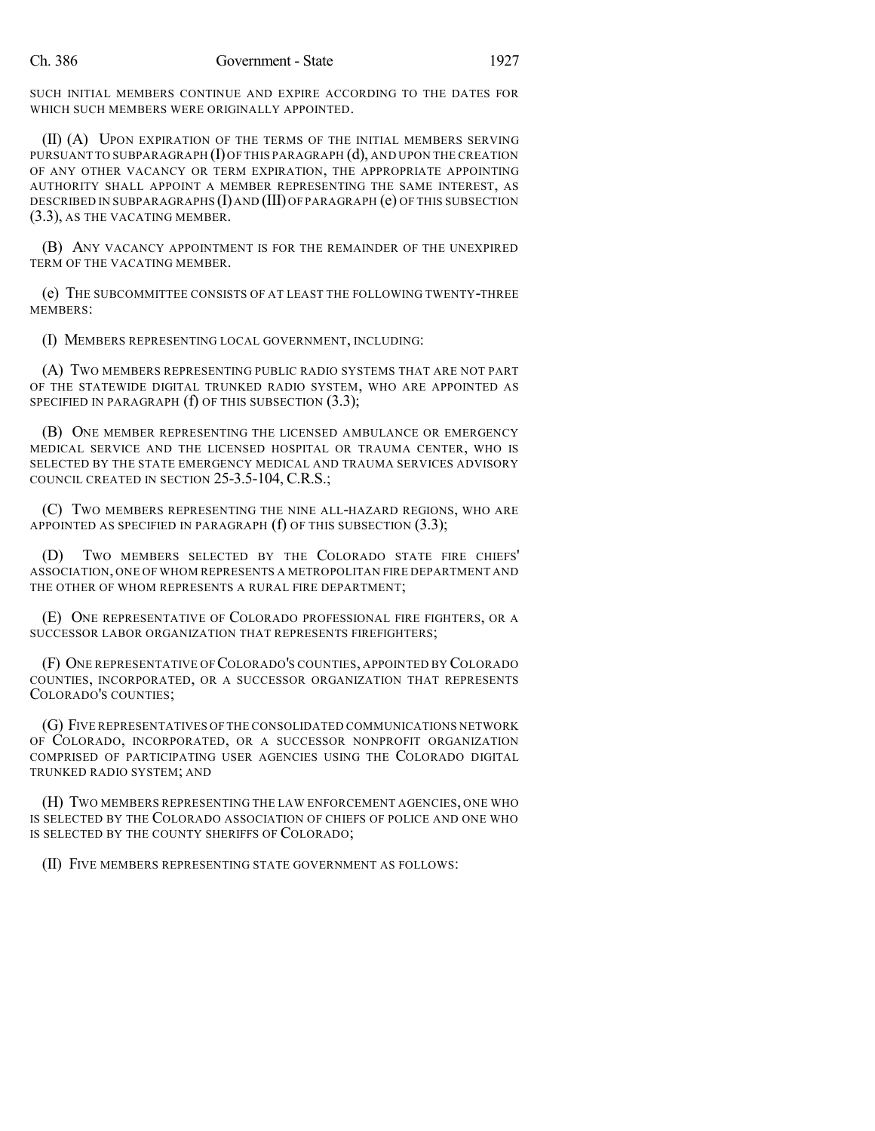SUCH INITIAL MEMBERS CONTINUE AND EXPIRE ACCORDING TO THE DATES FOR WHICH SUCH MEMBERS WERE ORIGINALLY APPOINTED.

(II) (A) UPON EXPIRATION OF THE TERMS OF THE INITIAL MEMBERS SERVING PURSUANT TO SUBPARAGRAPH  $(I)$  OF THIS PARAGRAPH  $(d)$ , AND UPON THE CREATION OF ANY OTHER VACANCY OR TERM EXPIRATION, THE APPROPRIATE APPOINTING AUTHORITY SHALL APPOINT A MEMBER REPRESENTING THE SAME INTEREST, AS DESCRIBED IN SUBPARAGRAPHS (I) AND (III) OF PARAGRAPH (e) OF THIS SUBSECTION (3.3), AS THE VACATING MEMBER.

(B) ANY VACANCY APPOINTMENT IS FOR THE REMAINDER OF THE UNEXPIRED TERM OF THE VACATING MEMBER.

(e) THE SUBCOMMITTEE CONSISTS OF AT LEAST THE FOLLOWING TWENTY-THREE MEMBERS:

(I) MEMBERS REPRESENTING LOCAL GOVERNMENT, INCLUDING:

(A) TWO MEMBERS REPRESENTING PUBLIC RADIO SYSTEMS THAT ARE NOT PART OF THE STATEWIDE DIGITAL TRUNKED RADIO SYSTEM, WHO ARE APPOINTED AS SPECIFIED IN PARAGRAPH  $(f)$  OF THIS SUBSECTION  $(3.3)$ ;

(B) ONE MEMBER REPRESENTING THE LICENSED AMBULANCE OR EMERGENCY MEDICAL SERVICE AND THE LICENSED HOSPITAL OR TRAUMA CENTER, WHO IS SELECTED BY THE STATE EMERGENCY MEDICAL AND TRAUMA SERVICES ADVISORY COUNCIL CREATED IN SECTION 25-3.5-104, C.R.S.;

(C) TWO MEMBERS REPRESENTING THE NINE ALL-HAZARD REGIONS, WHO ARE APPOINTED AS SPECIFIED IN PARAGRAPH  $(f)$  OF THIS SUBSECTION  $(3.3)$ ;

(D) TWO MEMBERS SELECTED BY THE COLORADO STATE FIRE CHIEFS' ASSOCIATION, ONE OF WHOM REPRESENTS A METROPOLITAN FIRE DEPARTMENT AND THE OTHER OF WHOM REPRESENTS A RURAL FIRE DEPARTMENT;

(E) ONE REPRESENTATIVE OF COLORADO PROFESSIONAL FIRE FIGHTERS, OR A SUCCESSOR LABOR ORGANIZATION THAT REPRESENTS FIREFIGHTERS;

(F) ONE REPRESENTATIVE OF COLORADO'S COUNTIES, APPOINTED BY COLORADO COUNTIES, INCORPORATED, OR A SUCCESSOR ORGANIZATION THAT REPRESENTS COLORADO'S COUNTIES;

(G) FIVE REPRESENTATIVES OF THE CONSOLIDATED COMMUNICATIONS NETWORK OF COLORADO, INCORPORATED, OR A SUCCESSOR NONPROFIT ORGANIZATION COMPRISED OF PARTICIPATING USER AGENCIES USING THE COLORADO DIGITAL TRUNKED RADIO SYSTEM; AND

(H) TWO MEMBERS REPRESENTING THE LAW ENFORCEMENT AGENCIES, ONE WHO IS SELECTED BY THE COLORADO ASSOCIATION OF CHIEFS OF POLICE AND ONE WHO IS SELECTED BY THE COUNTY SHERIFFS OF COLORADO;

(II) FIVE MEMBERS REPRESENTING STATE GOVERNMENT AS FOLLOWS: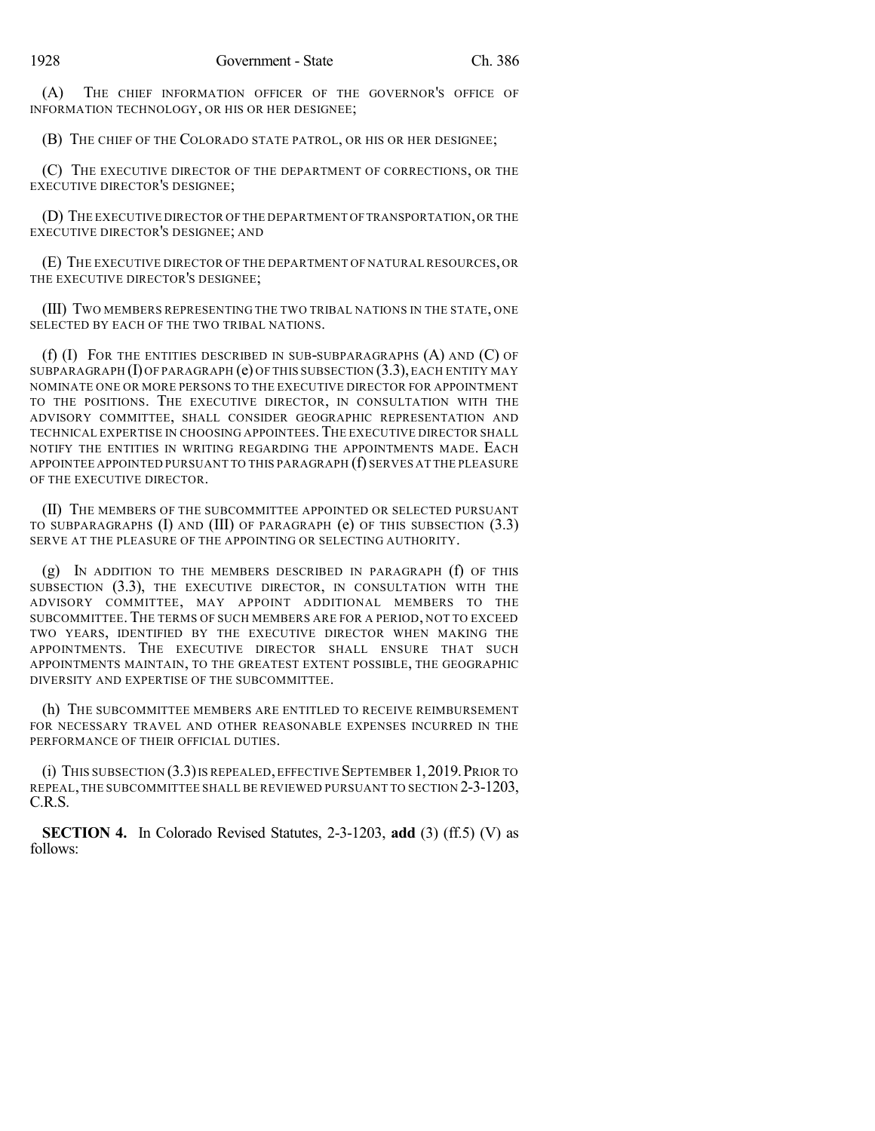(A) THE CHIEF INFORMATION OFFICER OF THE GOVERNOR'S OFFICE OF INFORMATION TECHNOLOGY, OR HIS OR HER DESIGNEE;

(B) THE CHIEF OF THE COLORADO STATE PATROL, OR HIS OR HER DESIGNEE;

(C) THE EXECUTIVE DIRECTOR OF THE DEPARTMENT OF CORRECTIONS, OR THE EXECUTIVE DIRECTOR'S DESIGNEE;

(D) THE EXECUTIVE DIRECTOR OF THE DEPARTMENT OFTRANSPORTATION,OR THE EXECUTIVE DIRECTOR'S DESIGNEE; AND

(E) THE EXECUTIVE DIRECTOR OF THE DEPARTMENT OF NATURAL RESOURCES, OR THE EXECUTIVE DIRECTOR'S DESIGNEE;

(III) TWO MEMBERS REPRESENTING THE TWO TRIBAL NATIONS IN THE STATE, ONE SELECTED BY EACH OF THE TWO TRIBAL NATIONS.

(f) (I) FOR THE ENTITIES DESCRIBED IN SUB-SUBPARAGRAPHS (A) AND (C) OF SUBPARAGRAPH  $(I)$  OF PARAGRAPH  $(e)$  OF THIS SUBSECTION  $(3.3)$ , EACH ENTITY MAY NOMINATE ONE OR MORE PERSONS TO THE EXECUTIVE DIRECTOR FOR APPOINTMENT TO THE POSITIONS. THE EXECUTIVE DIRECTOR, IN CONSULTATION WITH THE ADVISORY COMMITTEE, SHALL CONSIDER GEOGRAPHIC REPRESENTATION AND TECHNICAL EXPERTISE IN CHOOSING APPOINTEES.THE EXECUTIVE DIRECTOR SHALL NOTIFY THE ENTITIES IN WRITING REGARDING THE APPOINTMENTS MADE. EACH APPOINTEE APPOINTED PURSUANT TO THIS PARAGRAPH (f) SERVES AT THE PLEASURE OF THE EXECUTIVE DIRECTOR.

(II) THE MEMBERS OF THE SUBCOMMITTEE APPOINTED OR SELECTED PURSUANT TO SUBPARAGRAPHS (I) AND (III) OF PARAGRAPH (e) OF THIS SUBSECTION (3.3) SERVE AT THE PLEASURE OF THE APPOINTING OR SELECTING AUTHORITY.

(g) IN ADDITION TO THE MEMBERS DESCRIBED IN PARAGRAPH (f) OF THIS SUBSECTION (3.3), THE EXECUTIVE DIRECTOR, IN CONSULTATION WITH THE ADVISORY COMMITTEE, MAY APPOINT ADDITIONAL MEMBERS TO THE SUBCOMMITTEE.THE TERMS OF SUCH MEMBERS ARE FOR A PERIOD, NOT TO EXCEED TWO YEARS, IDENTIFIED BY THE EXECUTIVE DIRECTOR WHEN MAKING THE APPOINTMENTS. THE EXECUTIVE DIRECTOR SHALL ENSURE THAT SUCH APPOINTMENTS MAINTAIN, TO THE GREATEST EXTENT POSSIBLE, THE GEOGRAPHIC DIVERSITY AND EXPERTISE OF THE SUBCOMMITTEE.

(h) THE SUBCOMMITTEE MEMBERS ARE ENTITLED TO RECEIVE REIMBURSEMENT FOR NECESSARY TRAVEL AND OTHER REASONABLE EXPENSES INCURRED IN THE PERFORMANCE OF THEIR OFFICIAL DUTIES.

(i) THIS SUBSECTION (3.3)IS REPEALED,EFFECTIVE SEPTEMBER 1,2019.PRIOR TO REPEAL,THE SUBCOMMITTEE SHALL BE REVIEWED PURSUANT TO SECTION 2-3-1203, C.R.S.

**SECTION 4.** In Colorado Revised Statutes, 2-3-1203, **add** (3) (ff.5) (V) as follows: